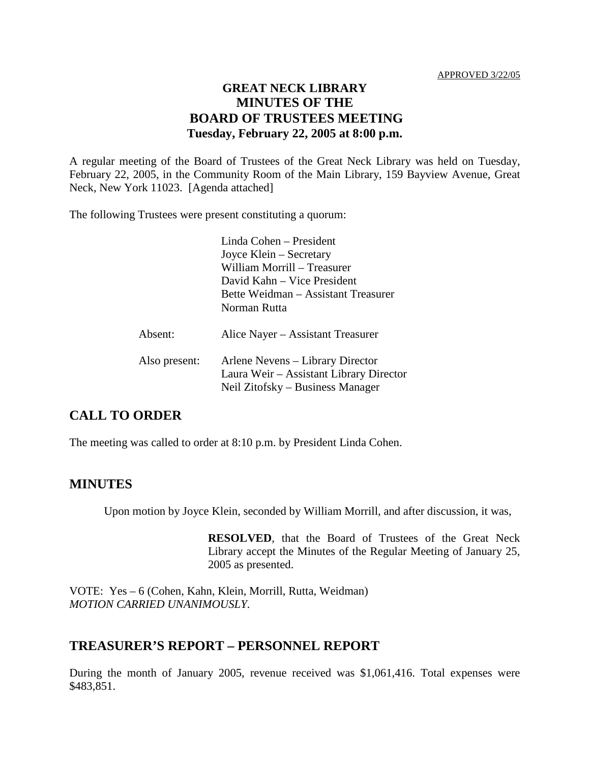# **GREAT NECK LIBRARY MINUTES OF THE BOARD OF TRUSTEES MEETING Tuesday, February 22, 2005 at 8:00 p.m.**

A regular meeting of the Board of Trustees of the Great Neck Library was held on Tuesday, February 22, 2005, in the Community Room of the Main Library, 159 Bayview Avenue, Great Neck, New York 11023. [Agenda attached]

The following Trustees were present constituting a quorum:

Linda Cohen – President Joyce Klein – Secretary William Morrill – Treasurer David Kahn – Vice President Bette Weidman – Assistant Treasurer Norman Rutta Absent: Alice Nayer – Assistant Treasurer Also present: Arlene Nevens – Library Director Laura Weir – Assistant Library Director Neil Zitofsky – Business Manager

# **CALL TO ORDER**

The meeting was called to order at 8:10 p.m. by President Linda Cohen.

#### **MINUTES**

Upon motion by Joyce Klein, seconded by William Morrill, and after discussion, it was,

**RESOLVED**, that the Board of Trustees of the Great Neck Library accept the Minutes of the Regular Meeting of January 25, 2005 as presented.

VOTE:Yes – 6 (Cohen, Kahn, Klein, Morrill, Rutta, Weidman) *MOTION CARRIED UNANIMOUSLY.*

### **TREASURER'S REPORT – PERSONNEL REPORT**

During the month of January 2005, revenue received was \$1,061,416. Total expenses were \$483,851.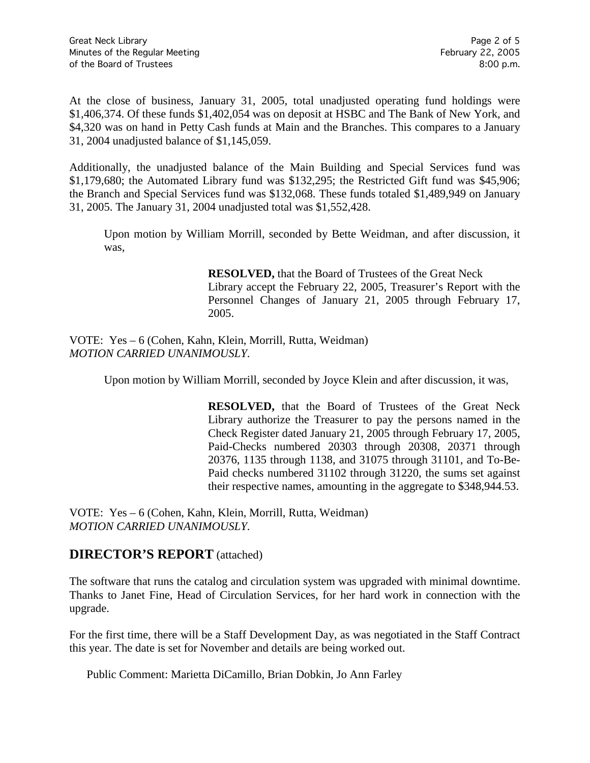At the close of business, January 31, 2005, total unadjusted operating fund holdings were \$1,406,374. Of these funds \$1,402,054 was on deposit at HSBC and The Bank of New York, and \$4,320 was on hand in Petty Cash funds at Main and the Branches. This compares to a January 31, 2004 unadjusted balance of \$1,145,059.

Additionally, the unadjusted balance of the Main Building and Special Services fund was \$1,179,680; the Automated Library fund was \$132,295; the Restricted Gift fund was \$45,906; the Branch and Special Services fund was \$132,068. These funds totaled \$1,489,949 on January 31, 2005. The January 31, 2004 unadjusted total was \$1,552,428.

Upon motion by William Morrill, seconded by Bette Weidman, and after discussion, it was,

> **RESOLVED,** that the Board of Trustees of the Great Neck Library accept the February 22, 2005, Treasurer's Report with the Personnel Changes of January 21, 2005 through February 17, 2005.

VOTE:Yes – 6 (Cohen, Kahn, Klein, Morrill, Rutta, Weidman) *MOTION CARRIED UNANIMOUSLY.*

Upon motion by William Morrill, seconded by Joyce Klein and after discussion, it was,

**RESOLVED,** that the Board of Trustees of the Great Neck Library authorize the Treasurer to pay the persons named in the Check Register dated January 21, 2005 through February 17, 2005, Paid-Checks numbered 20303 through 20308, 20371 through 20376, 1135 through 1138, and 31075 through 31101, and To-Be-Paid checks numbered 31102 through 31220, the sums set against their respective names, amounting in the aggregate to \$348,944.53.

VOTE:Yes – 6 (Cohen, Kahn, Klein, Morrill, Rutta, Weidman) *MOTION CARRIED UNANIMOUSLY.*

# **DIRECTOR'S REPORT** (attached)

The software that runs the catalog and circulation system was upgraded with minimal downtime. Thanks to Janet Fine, Head of Circulation Services, for her hard work in connection with the upgrade.

For the first time, there will be a Staff Development Day, as was negotiated in the Staff Contract this year. The date is set for November and details are being worked out.

Public Comment: Marietta DiCamillo, Brian Dobkin, Jo Ann Farley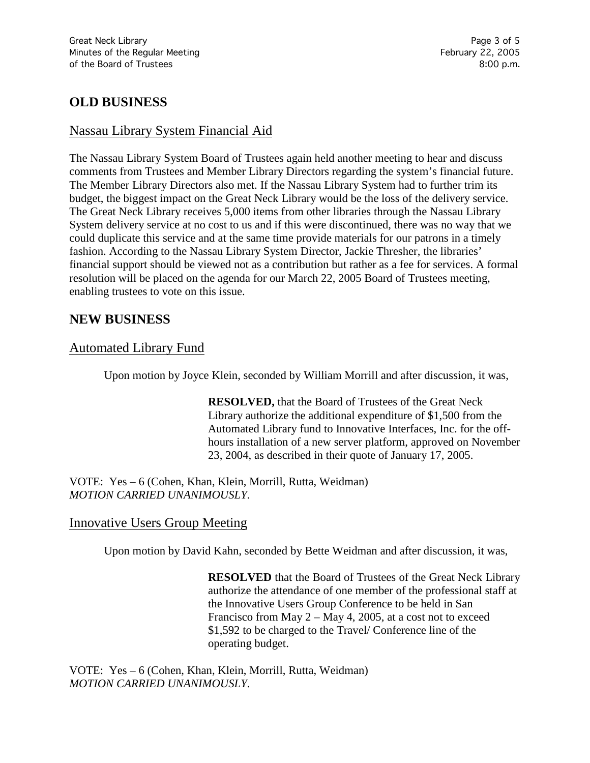# **OLD BUSINESS**

# Nassau Library System Financial Aid

The Nassau Library System Board of Trustees again held another meeting to hear and discuss comments from Trustees and Member Library Directors regarding the system's financial future. The Member Library Directors also met. If the Nassau Library System had to further trim its budget, the biggest impact on the Great Neck Library would be the loss of the delivery service. The Great Neck Library receives 5,000 items from other libraries through the Nassau Library System delivery service at no cost to us and if this were discontinued, there was no way that we could duplicate this service and at the same time provide materials for our patrons in a timely fashion. According to the Nassau Library System Director, Jackie Thresher, the libraries' financial support should be viewed not as a contribution but rather as a fee for services. A formal resolution will be placed on the agenda for our March 22, 2005 Board of Trustees meeting, enabling trustees to vote on this issue.

# **NEW BUSINESS**

# Automated Library Fund

Upon motion by Joyce Klein, seconded by William Morrill and after discussion, it was,

**RESOLVED,** that the Board of Trustees of the Great Neck Library authorize the additional expenditure of \$1,500 from the Automated Library fund to Innovative Interfaces, Inc. for the offhours installation of a new server platform, approved on November 23, 2004, as described in their quote of January 17, 2005.

VOTE:Yes – 6 (Cohen, Khan, Klein, Morrill, Rutta, Weidman) *MOTION CARRIED UNANIMOUSLY.*

### Innovative Users Group Meeting

Upon motion by David Kahn, seconded by Bette Weidman and after discussion, it was,

**RESOLVED** that the Board of Trustees of the Great Neck Library authorize the attendance of one member of the professional staff at the Innovative Users Group Conference to be held in San Francisco from May 2 – May 4, 2005, at a cost not to exceed \$1,592 to be charged to the Travel/ Conference line of the operating budget.

VOTE:Yes – 6 (Cohen, Khan, Klein, Morrill, Rutta, Weidman) *MOTION CARRIED UNANIMOUSLY.*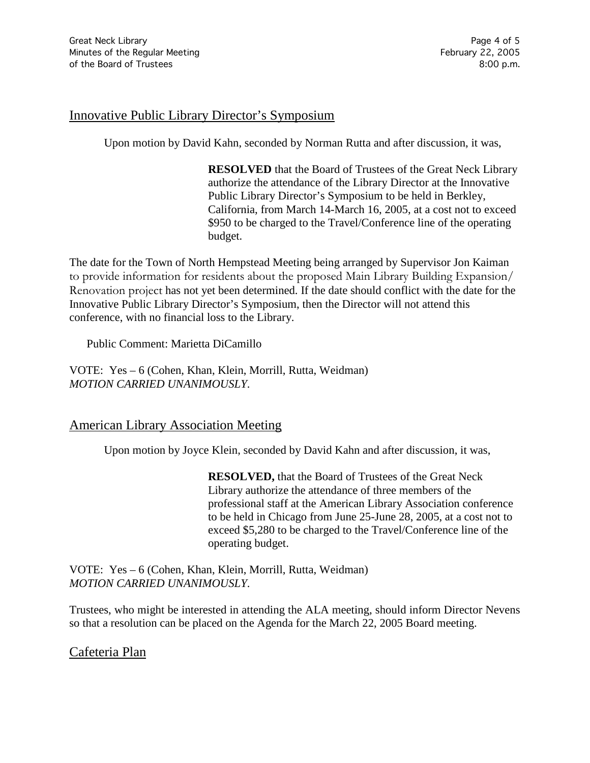# Innovative Public Library Director's Symposium

Upon motion by David Kahn, seconded by Norman Rutta and after discussion, it was,

**RESOLVED** that the Board of Trustees of the Great Neck Library authorize the attendance of the Library Director at the Innovative Public Library Director's Symposium to be held in Berkley, California, from March 14-March 16, 2005, at a cost not to exceed \$950 to be charged to the Travel/Conference line of the operating budget.

The date for the Town of North Hempstead Meeting being arranged by Supervisor Jon Kaiman to provide information for residents about the proposed Main Library Building Expansion/ Renovation project has not yet been determined. If the date should conflict with the date for the Innovative Public Library Director's Symposium, then the Director will not attend this conference, with no financial loss to the Library.

Public Comment: Marietta DiCamillo

VOTE:Yes – 6 (Cohen, Khan, Klein, Morrill, Rutta, Weidman) *MOTION CARRIED UNANIMOUSLY.*

### American Library Association Meeting

Upon motion by Joyce Klein, seconded by David Kahn and after discussion, it was,

**RESOLVED,** that the Board of Trustees of the Great Neck Library authorize the attendance of three members of the professional staff at the American Library Association conference to be held in Chicago from June 25-June 28, 2005, at a cost not to exceed \$5,280 to be charged to the Travel/Conference line of the operating budget.

VOTE:Yes – 6 (Cohen, Khan, Klein, Morrill, Rutta, Weidman) *MOTION CARRIED UNANIMOUSLY.*

Trustees, who might be interested in attending the ALA meeting, should inform Director Nevens so that a resolution can be placed on the Agenda for the March 22, 2005 Board meeting.

### Cafeteria Plan